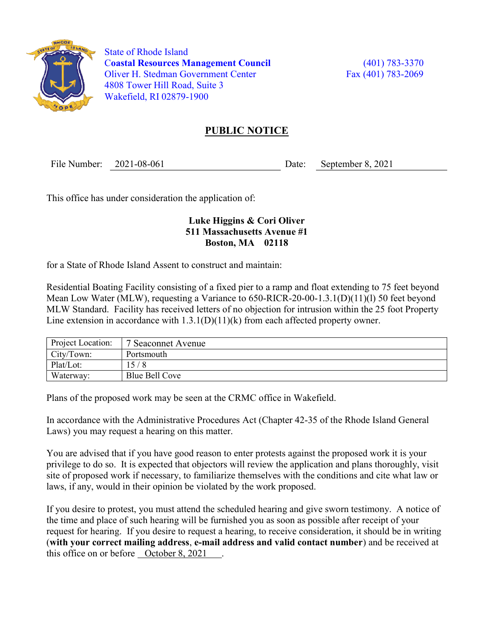

 State of Rhode Island Coastal Resources Management Council (401) 783-3370 Oliver H. Stedman Government Center Fax (401) 783-2069 4808 Tower Hill Road, Suite 3 Wakefield, RI 02879-1900

## PUBLIC NOTICE

File Number: 2021-08-061 Date: September 8, 2021

This office has under consideration the application of:

## Luke Higgins & Cori Oliver 511 Massachusetts Avenue #1 Boston, MA 02118

for a State of Rhode Island Assent to construct and maintain:

Residential Boating Facility consisting of a fixed pier to a ramp and float extending to 75 feet beyond Mean Low Water (MLW), requesting a Variance to 650-RICR-20-00-1.3.1(D)(11)(1) 50 feet beyond MLW Standard. Facility has received letters of no objection for intrusion within the 25 foot Property Line extension in accordance with  $1.3.1(D)(11)(k)$  from each affected property owner.

| Project Location: | $\overline{1}$ 7 Seaconnet Avenue |
|-------------------|-----------------------------------|
| City/Town:        | Portsmouth                        |
| Plat/Lot:         | 15/8                              |
| Waterway:         | Blue Bell Cove                    |

Plans of the proposed work may be seen at the CRMC office in Wakefield.

In accordance with the Administrative Procedures Act (Chapter 42-35 of the Rhode Island General Laws) you may request a hearing on this matter.

You are advised that if you have good reason to enter protests against the proposed work it is your privilege to do so. It is expected that objectors will review the application and plans thoroughly, visit site of proposed work if necessary, to familiarize themselves with the conditions and cite what law or laws, if any, would in their opinion be violated by the work proposed.

If you desire to protest, you must attend the scheduled hearing and give sworn testimony. A notice of the time and place of such hearing will be furnished you as soon as possible after receipt of your request for hearing. If you desire to request a hearing, to receive consideration, it should be in writing (with your correct mailing address, e-mail address and valid contact number) and be received at this office on or before  $\sqrt{$ October 8, 2021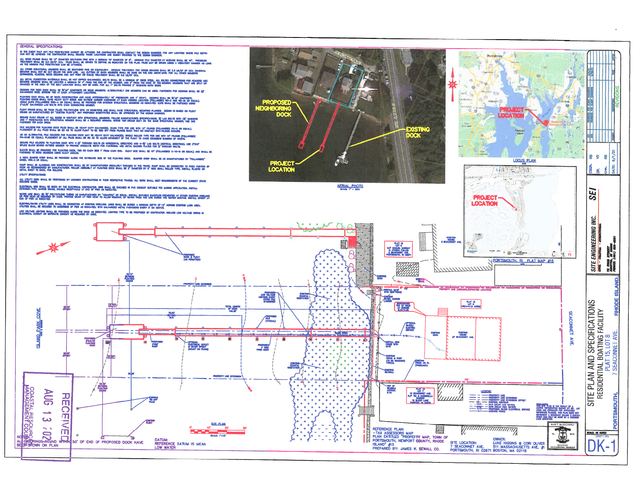

Providers

**GENERAL SPECIFICATIONS:** 

ALL WOOD PILRIOS

in the event that any pile ferenation cannot be attaned the contractor shall contact the object excimed. For any location where pile oepth<br>Can not be agrends the contractor shall redord those locations and subat records to

.<br>Eter Boutheoin Pine with a miniman top owneter of 8°, miniman pile dwarter at madline<br>Piles bhall be orven to obpthis as redcated on the plan, piles may be driven using .